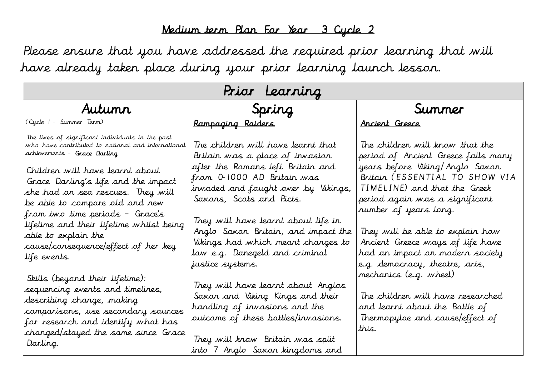## Medium term Plan For Year 3 Cycle 2

Please ensure that you have addressed the required prior learning that will have already taken place during your prior learning launch lesson.

| Prior Learning                                                                                                                                                                                                                                                                                                                                                                                                                                       |                                                                                                                                                                                                                                                                                                                                                                                       |                                                                                                                                                                                                                                                                                                                                                                                                               |  |  |
|------------------------------------------------------------------------------------------------------------------------------------------------------------------------------------------------------------------------------------------------------------------------------------------------------------------------------------------------------------------------------------------------------------------------------------------------------|---------------------------------------------------------------------------------------------------------------------------------------------------------------------------------------------------------------------------------------------------------------------------------------------------------------------------------------------------------------------------------------|---------------------------------------------------------------------------------------------------------------------------------------------------------------------------------------------------------------------------------------------------------------------------------------------------------------------------------------------------------------------------------------------------------------|--|--|
| Autumn                                                                                                                                                                                                                                                                                                                                                                                                                                               | Spring                                                                                                                                                                                                                                                                                                                                                                                | Summer                                                                                                                                                                                                                                                                                                                                                                                                        |  |  |
| (Cycle I - Summer Term)                                                                                                                                                                                                                                                                                                                                                                                                                              | Rampaging Raiders                                                                                                                                                                                                                                                                                                                                                                     | Ancient Greece                                                                                                                                                                                                                                                                                                                                                                                                |  |  |
| The lives of significant individuals in the past<br>who have contributed to national and international<br>achievements - Grace Darling<br>Children will have learnt about<br>Grace Darling's life and the impact<br>she had on sea rescues. They will<br>be able to compare old and new<br>from two time periods – Grace's<br>lifetime and their lifetime whilst being<br>able to explain the<br>cause/consequence/effect of her key<br>life events. | The children will have learnt that<br>Britain was a place of invasion<br>after the Romans left Britain and<br>from 0-1000 AD Britain was<br>invaded and fought over by Vikings,<br>Saxons, Scots and Picts.<br>They will have learnt about life in<br>Anglo Saxon Britain, and impact the<br>Vikings had which meant changes to<br>law e.g. Danegeld and criminal<br>justice systems. | The children will know that the<br>period of Ancient Greece falls many<br>years before Viking/Anglo Saxon<br>Britain (ESSENTIAL TO SHOW VIA<br>TIMELINE) and that the Greek<br>period again was a significant<br>rumber of years long.<br>They will be able to explain how<br>Ancient Greece ways of life have<br>had an impact on modern society<br>e.g. democracy, theatre, arts,<br>mechanics (e.g. wheel) |  |  |
| Skills (beyond their lifetime):<br>sequencing events and timelines,<br>describing change, making<br>comparisons, use secondary sources<br>for research and identify what has<br>changed/stayed the same since Grace<br>Darling.                                                                                                                                                                                                                      | They will have learnt about Anglos<br>Saxon and Viking Kings and their<br>handling of invasions and the<br>outcome of these battles/invasions.<br>They will know Britain was split<br>into 7 Anglo Saxon kingdoms and                                                                                                                                                                 | The children will have researched<br>and learnt about the Battle of<br>Thermopylae and cause/effect of<br>this.                                                                                                                                                                                                                                                                                               |  |  |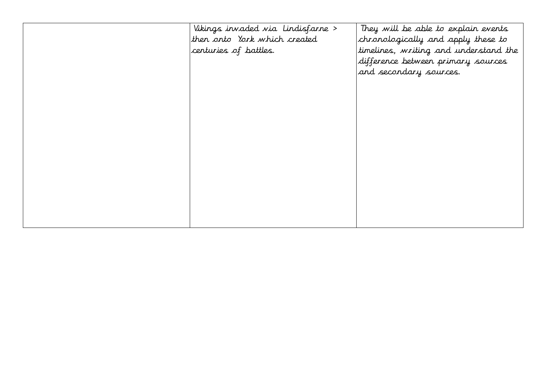| Vikings invaded via Lindisfarne ><br>then onto York which created<br>centuries of battles. | They will be able to explain events<br>chronologically and apply these to<br>timelines, writing and understand the<br>difference between primary sources<br>and secondary sources. |
|--------------------------------------------------------------------------------------------|------------------------------------------------------------------------------------------------------------------------------------------------------------------------------------|
|                                                                                            |                                                                                                                                                                                    |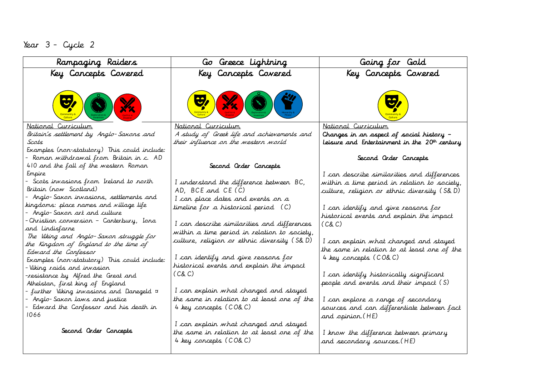## Year 3 - Cycle 2

| Rampaging Raiders                                                         | Go Greece Lightning                                                                                                                                                                                                                  | Going for Gold                                                                            |  |
|---------------------------------------------------------------------------|--------------------------------------------------------------------------------------------------------------------------------------------------------------------------------------------------------------------------------------|-------------------------------------------------------------------------------------------|--|
| Key Concepts Covered                                                      | Key Concepts Covered                                                                                                                                                                                                                 | Key Concepts Covered                                                                      |  |
| <b>BARNET REPAIRING THE COMMUNITY OF COMMUNITY</b>                        | <b>Continued by the Contract of Continues of Continues of Continues and Continues of Continues of Continues and Continues of Continues and Continues of Continues and Continues and Continues and Continues and Continues and Co</b> | <b>EA</b>                                                                                 |  |
| National Curriculum                                                       | National Curriculum                                                                                                                                                                                                                  | National Curriculum                                                                       |  |
| Britain's settlement by Anglo-Saxons and<br>Scots                         | A study of Greek life and achievements and<br>their influence on the western world                                                                                                                                                   | Changes in an aspect of social history –<br>Leisure and Entertainment in the 20th century |  |
| Examples (non-statutory) This could include:                              |                                                                                                                                                                                                                                      |                                                                                           |  |
| - Roman withdrawal from Britain in c. AD                                  |                                                                                                                                                                                                                                      | Second Order Concepts                                                                     |  |
| 410 and the fall of the western Roman                                     | Second Order Concepts                                                                                                                                                                                                                |                                                                                           |  |
| Empire                                                                    |                                                                                                                                                                                                                                      | I can describe similarities and differences                                               |  |
| - Scots invasions from Ireland to north                                   | I understand the difference between BC,                                                                                                                                                                                              | within a time period in relation to society,                                              |  |
| Britain (now Scotland)<br>- Anglo-Saxon invasions, settlements and        | AD, BCE and CE (C)                                                                                                                                                                                                                   | culture, religion or ethnic diversity (S& D)                                              |  |
| kingdoms: place names and village life                                    | I can place dates and events on a                                                                                                                                                                                                    |                                                                                           |  |
| - Anglo-Saxon art and culture                                             | timeline for a historical period (C)                                                                                                                                                                                                 | I can identify and give reasons for<br>historical events and explain the impact           |  |
| -Christian conversion – Canterbury, Iona                                  | I can describe similarities and differences                                                                                                                                                                                          | (C&C)                                                                                     |  |
| and Lindisfarne                                                           | within a time period in relation to society,                                                                                                                                                                                         |                                                                                           |  |
| The Viking and Anglo-Saxon struggle for                                   | culture, religion or ethnic diversity (S& D)                                                                                                                                                                                         | I can explain what changed and stayed                                                     |  |
| the Kingdom of England to the time of<br>Edward the Confessor             |                                                                                                                                                                                                                                      | the same in relation to at least one of the                                               |  |
| Examples (non-statutory) This could include:                              | I can identify and give reasons for                                                                                                                                                                                                  | 4 key concepts (CO& C)                                                                    |  |
| -Viking <i>r</i> aids and invasion                                        | historical events and explain the impact                                                                                                                                                                                             |                                                                                           |  |
| resistance by Alfred the Great and                                        | (C&C)                                                                                                                                                                                                                                | I can identify historically significant                                                   |  |
| Athelstan, first king of England                                          |                                                                                                                                                                                                                                      | people and events and their impact (S)                                                    |  |
| - further Viking invasions and Danegeld ¤                                 | I can explain what changed and stayed                                                                                                                                                                                                |                                                                                           |  |
| – Anglo-Saxon laws and justice<br>- Edward the Confessor and his death in | the same in relation to at least one of the<br>4 key concepts (CO& C)                                                                                                                                                                | I can explore a range of secondary<br>sources and can differentiate between fact          |  |
| 1066                                                                      |                                                                                                                                                                                                                                      | and opinion.(HE)                                                                          |  |
|                                                                           | I can explain what changed and stayed                                                                                                                                                                                                |                                                                                           |  |
| Second Order Concepts                                                     | the same in relation to at least one of the                                                                                                                                                                                          | I know the difference between primary                                                     |  |
|                                                                           | 4 key concepts (CO& C)                                                                                                                                                                                                               | and secondary sources.(HE)                                                                |  |
|                                                                           |                                                                                                                                                                                                                                      |                                                                                           |  |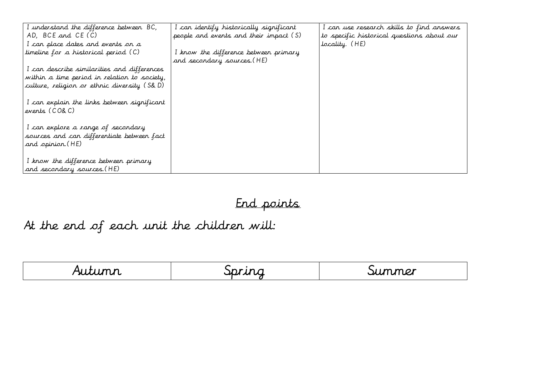| I understand the difference between BC,      | I can identify historically significant | I can use research skills to find answers  |
|----------------------------------------------|-----------------------------------------|--------------------------------------------|
| AD, BCE and CE (C)                           | people and events and their impact (S)  | to specific historical questions about our |
| I can place dates and events on a            |                                         | 'locality. (HE)                            |
| timeline for a historical period (C)         | I know the difference between primary   |                                            |
|                                              | and secondary sources. (HE)             |                                            |
| I can describe similarities and differences  |                                         |                                            |
| within a time period in relation to society, |                                         |                                            |
| culture, religion or ethnic diversity (S&D)  |                                         |                                            |
|                                              |                                         |                                            |
| I can explain the links between significant  |                                         |                                            |
| events (CO&C)                                |                                         |                                            |
|                                              |                                         |                                            |
| I can explore a range of secondary           |                                         |                                            |
| sources and can differentiate between fact   |                                         |                                            |
| and opinion. (HE)                            |                                         |                                            |
|                                              |                                         |                                            |
| I know the difference between primary        |                                         |                                            |
| and secondary sources. (HE)                  |                                         |                                            |

# End points

# At the end of each unit the children will:

| .<br><u>wuu</u><br>u u | ιg<br>$\sim$<br>ישה י | mer<br>$\mathbf{r}$<br><u>и.</u><br>ا مىم |
|------------------------|-----------------------|-------------------------------------------|
|                        |                       |                                           |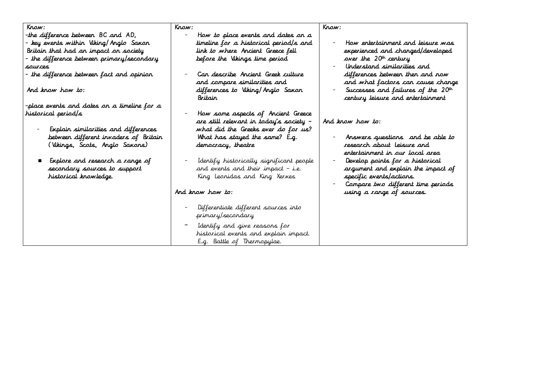| Krow:                                                                                                                                                                                                                                                                                         | Krow:                                                                                                                                                                                                                                                                                                                                                                                                                                                                                     | Krow:                                                                                                                                                                                                                                                                                          |
|-----------------------------------------------------------------------------------------------------------------------------------------------------------------------------------------------------------------------------------------------------------------------------------------------|-------------------------------------------------------------------------------------------------------------------------------------------------------------------------------------------------------------------------------------------------------------------------------------------------------------------------------------------------------------------------------------------------------------------------------------------------------------------------------------------|------------------------------------------------------------------------------------------------------------------------------------------------------------------------------------------------------------------------------------------------------------------------------------------------|
| the difference between BC and AD,<br>– key events within Viking/Anglo Saxon<br>Britain that had an impact on society<br>- the difference between primary/secondary<br>sources<br>- the difference between fact and opinion<br>And know how to:<br>-place events and dates on a timeline for a | How to place events and dates an a<br>timeline for a historical period/s and<br>link to where Ancient Greece fell<br>before the Vikings time period<br>Can describe Ancient Greek culture<br>and compare similarities and<br>differences to Viking/Anglo Saxon<br>Britain                                                                                                                                                                                                                 | How entertainment and leisure was<br>experienced and changed/developed<br>over the 20 <sup>th</sup> century<br>Understand similarities and<br>differences between then and now<br>and what factors can cause change<br>Successes and failures of the 20th<br>certury leisure and entertainment |
| historical period/s<br>Explain similarities and differences<br>betweer different invaders of Britain<br>(Vikings, Scots, Anglo Saxons)<br>Explore and research a range of<br>secondary sources to support<br>historical knowledge.                                                            | How some aspects of Ancient Greece<br>are still relevant in today's society –<br>what did the Greeks ever do for us?<br>What has stayed the same? E.g.<br>democracy, theatre<br>Identify historically significant people<br>and events and their impact - i.e.<br>King Leonidas and King Xerxes<br>And know how to:<br>Differentiate different sources into<br>primary/secondary<br>Identify and give reasons for<br>historical events and explain impact.<br>E.g. Battle of Thermopylae. | And know how to:<br>Answers questions and be able to<br>research about leisure and<br>entertainment in our local area<br>Develop points for a historical<br>argument and explain the impact of<br>specific events/actions.<br>Compare two different time periods<br>using a range of sources.  |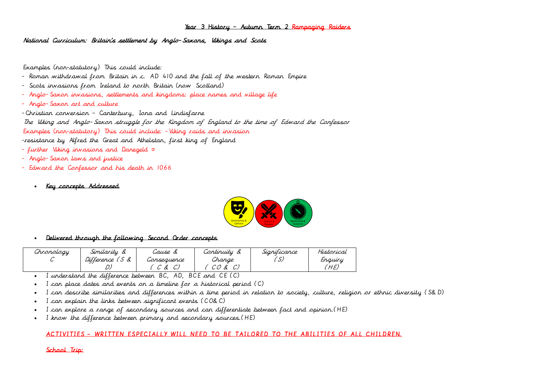### Year 3 History – Autumn Term 2 Rampaging Raiders

National Curriculum: Britain's settlement by Anglo-Saxons, Vikings and Scots

Examples (non-statutory) This could include:

- Roman withdrawal from Britain in c. AD 410 and the fall of the western Roman Empire
- Scots invasions from Ireland to north Britain (now Scotland)
- Anglo-Saxon invasions, settlements and kingdoms: place names and village life
- Anglo-Saxon art and culture

-Christian conversion – Canterbury, Iona and Lindisfarne

The Viking and Anglo-Saxon struggle for the Kingdom of England to the time of Edward the Confessor

Examples (non-statutory) This could include: -Viking raids and invasion

-resistance by Alfred the Great and Athelstan, first king of England

- further Viking invasions and Danegeld
- Anglo-Saxon laws and justice
- Edward the Confessor and his death in 1066
	- Key concepts Addressed



### Delivered through the following Second Order concepts

| Chronology | Similarity               | cause &     | continuity                                    | Sianiticance | Historical |
|------------|--------------------------|-------------|-----------------------------------------------|--------------|------------|
|            | Difference (<br>$\alpha$ | Consequence | Change                                        | رپ           | Enquiry    |
|            |                          | $\alpha$    | Ŀ<br>$\mathcal{\cup}$ $\mathcal{\cup}$<br>رسا |              | HE)        |

I understand the difference between BC, AD, BCE and CE (C)

I can place dates and events on a timeline for a historical period (C)

- I can describe similarities and differences within a time period in relation to society, culture, religion or ethnic diversity (S&D)
- I can explain the links between significant events (CO&C)
- I can explore a range of secondary sources and can differentiate between fact and opinion.(HE)
- I know the difference between primary and secondary sources.(HE)

### ACTIVITIES – WRITTEN ESPECIALLY WILL NEED TO BE TAILORED TO THE ABILITIES OF ALL CHILDREN.

### School Trip: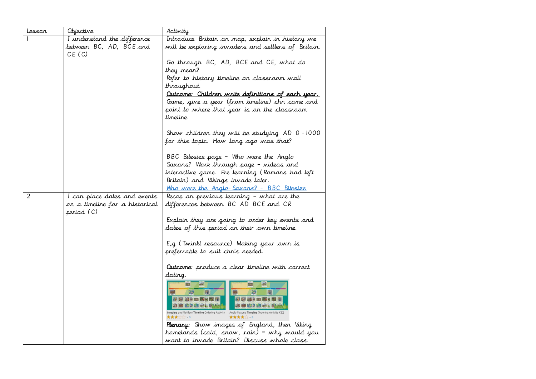| Lesson | Objective                                                                    | Activity                                                                                                                                                                                                               |
|--------|------------------------------------------------------------------------------|------------------------------------------------------------------------------------------------------------------------------------------------------------------------------------------------------------------------|
|        | I understand the difference<br>between BC, AD, BCE and<br>CE(C)              | Introduce Britain on map, explain in history we<br>will be exploring invaders and settlers of Britain.                                                                                                                 |
|        |                                                                              | Go through BC, AD, BCE and CE, what do<br>they mean?                                                                                                                                                                   |
|        |                                                                              | Refer to history timeline on classroom wall<br>throughout.                                                                                                                                                             |
|        |                                                                              | <u>Outcome: Children write definitions of each year.</u><br>Game, give a year (from timeline) chn come and<br>point to where that year is on the classroom<br>timeline.                                                |
|        |                                                                              | Show children they will be studying AD 0-1000<br>for this topic. How long ago was that?                                                                                                                                |
|        |                                                                              | BBC Bitesize page - Who were the Anglo<br>Saxons? Work through page - videos and<br>interactive game. Pre learning (Romans had left<br>Britain) and Vikings invade later.<br>Who were the Anglo-Saxons? - BBC Bitesize |
| 2      | I can place dates and events<br>on a timeline for a historical<br>period (C) | Recap on previous learning - what are the<br>differences between BC AD BCE and CR                                                                                                                                      |
|        |                                                                              | Explain they are going to order key events and<br>dates of this period on their own timeline.                                                                                                                          |
|        |                                                                              | E,g (Twinkl resource) Making your own is<br>preferrable to suit chn's needed.                                                                                                                                          |
|        |                                                                              | <b>Outcome</b> : produce a clear timeline with correct<br>dating.                                                                                                                                                      |
|        |                                                                              | riad-<br>躏<br>M<br>Invaders and Settlers Timeline Ordering Activity Anglo Saxons Timeline Ordering Activity KS2<br>★★★☆☆ >3<br>★★★★ ∨9                                                                                 |
|        |                                                                              | <b>Plenary:</b> Show images of England, then Viking<br>homelands (cold, snow, rain) = why would you<br>want to invade Britain? Discuss whole class.                                                                    |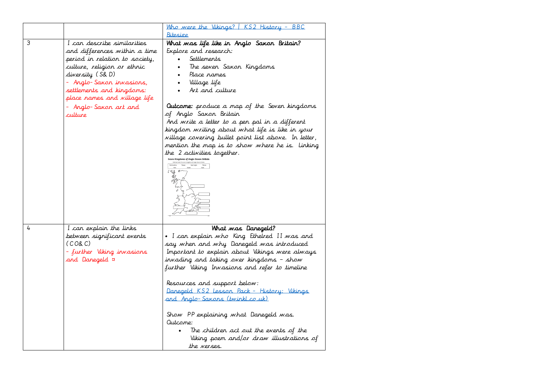|   |                                                                                                                                                                                                                                                                                | Who were the Vikings?   KS2 History - BBC<br><u>Bitesize</u>                                                                                                                                                                                                                                                                                                                                                                                                                                                                                      |
|---|--------------------------------------------------------------------------------------------------------------------------------------------------------------------------------------------------------------------------------------------------------------------------------|---------------------------------------------------------------------------------------------------------------------------------------------------------------------------------------------------------------------------------------------------------------------------------------------------------------------------------------------------------------------------------------------------------------------------------------------------------------------------------------------------------------------------------------------------|
| 3 | I can describe similarities<br>and differences within a time<br>period in relation to society,<br>culture, religion or ethnic<br>diversity (S& D)<br>- Anglo-Saxon invasions,<br>settlements and kingdoms:<br>place rames and village life<br>- Anglo-Saxon art and<br>culture | What was life like in Anglo Saxon Britain?<br>Explore and research:<br>Settlements<br>The seven Saxon Kingdoms<br>Place rames<br>Village life<br>Art and culture<br><b>Outcome:</b> produce a map of the Seven kingdoms<br>of Anglo Saxon Britain<br>And write a letter to a pen pal in a different<br>kingdom writing about what life is like in your<br>village covering bullet point list above. In letter,<br>mention the map is to show where he is. Linking<br>the 2 activities together.<br>ieven Kingdoms of Anglo-Saxon Bri<br>" 观点      |
| 4 | I can explain the links<br>between significant events<br>(CO&C)<br>- further Viking invasions<br>and Danegeld ¤                                                                                                                                                                | What was Danegeld?<br>• I can explain who King Ethelred II was and<br>say when and why Danegeld was introduced<br>Important to explain about Vikings were always<br>invading and taking over kingdoms – show<br>further Viking Invasions and refer to timeline<br>Resources and support below:<br>Danegeld KS2 Lesson Pack - History: Vikings<br><u>and Anglo-Saxons (twinkl.co.uk)</u><br>Show PP explaining what Danegeld was.<br>Outcome:<br>The children act out the events of the<br>Viking poem and/or draw illustrations of<br>the verses. |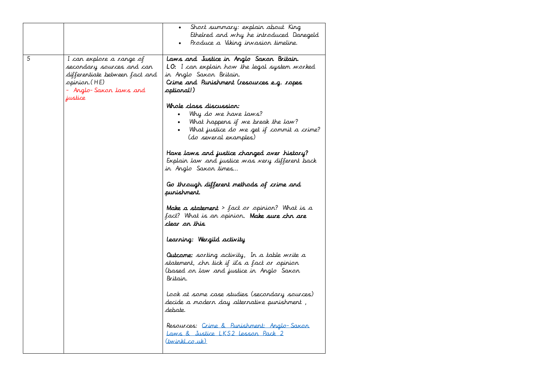|   |                                                                                                                                              | Short summary: explain about King<br>$\bullet$<br>Ethelred and why he introduced Danegeld<br>Produce a Viking invasion timeline.                                                        |
|---|----------------------------------------------------------------------------------------------------------------------------------------------|-----------------------------------------------------------------------------------------------------------------------------------------------------------------------------------------|
| 5 | I can explore a range of<br>secondary sources and can<br>differentiate between fact and<br>opinion.(HE)<br>– Anglo-Saxon laws and<br>justice | Laws and Justice in Anglo Saxon Britain.<br><b>LO:</b> I can explain how the legal system worked<br>in Anglo Saxon Britain.<br>Crime and Punishment (resources e.g. ropes<br>(!Aptional |
|   |                                                                                                                                              | Whole class discussion:<br>Why do we have laws?<br>What happens if we break the law?<br>What justice do we get if commit a crime?<br>(do several examples)                              |
|   |                                                                                                                                              | Have laws and justice changed over history?<br>Explain law and justice was very different back<br>in Anglo Saxon times                                                                  |
|   |                                                                                                                                              | Go through different methods of crime and<br>purishment.                                                                                                                                |
|   |                                                                                                                                              | <b>Make a statement</b> > fact or opinion? What is a<br>fact? What is an opinion <b>. Make sure chn are</b><br>clear ar this                                                            |
|   |                                                                                                                                              | Learning: Wergild activity                                                                                                                                                              |
|   |                                                                                                                                              | <b>Outcome:</b> sorting activity, In a table write a<br>statement, chn tick if it's a fact or opinion<br>(based on law and justice in Anglo Saxon<br>Britain.                           |
|   |                                                                                                                                              | Look at some case studies (secondary sources)<br>decide a modern day alternative punishment ,<br>debate.                                                                                |
|   |                                                                                                                                              | Resources: Crime & Punishment: Anglo-Saxon<br>Laws & Justice LKS2 Lesson Pack 2<br>(twinkl.co.uk)                                                                                       |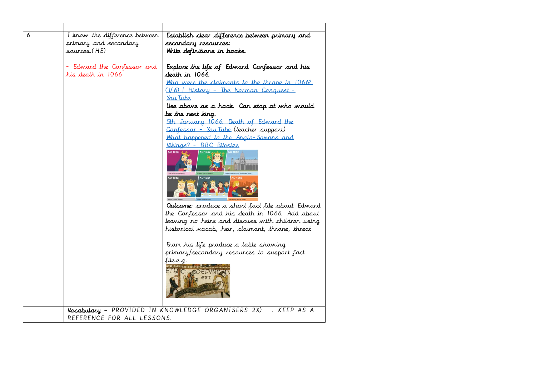| 6 | I know the difference between | Establish clear difference between primary and                 |
|---|-------------------------------|----------------------------------------------------------------|
|   | primary and secondary         | secondary resources:                                           |
|   | sources.(HE)                  | Write definitions in books.                                    |
|   | Edward the Confessor and      | Explore the life of Edward Confessor and his                   |
|   | his death in 1066             | death in 1066.                                                 |
|   |                               | Who were the claimants to the throne in 1066?                  |
|   |                               | $( 6 $ History - The Norman Conquest -                         |
|   |                               | You Tube                                                       |
|   |                               | Use above as a hook. Can stop at who would                     |
|   |                               | be the next king.                                              |
|   |                               | 5th January 1066: Death of Edward the                          |
|   |                               | Confessor - You Tube (teacher support)                         |
|   |                               | What happened to the Anglo-Saxons and                          |
|   |                               | Vikings? - BBC Bitesize                                        |
|   |                               | AD 1013 生姜<br>AD 1042                                          |
|   |                               |                                                                |
|   |                               |                                                                |
|   |                               | AD 1043<br>AD 1051                                             |
|   |                               |                                                                |
|   |                               |                                                                |
|   |                               |                                                                |
|   |                               | <b>Quicome:</b> produce a short fact file about Edward         |
|   |                               | the Confessor and his death in 1066. Add about                 |
|   |                               | leaving no heirs and discuss with children using               |
|   |                               | historical vocab, heir, claimant, throne, threat               |
|   |                               |                                                                |
|   |                               | From his life produce a table showing                          |
|   |                               | primary/secondary resources to support fact                    |
|   |                               | file.e.g.<br>1010121218110                                     |
|   |                               | ELAC GOEFVNC                                                   |
|   |                               |                                                                |
|   |                               |                                                                |
|   |                               |                                                                |
|   |                               |                                                                |
|   |                               | Vocabulary - PROVIDED IN KNOWLEDGE ORGANISERS 2X)<br>KEEP AS A |
|   | REFERENCE FOR ALL LESSONS.    |                                                                |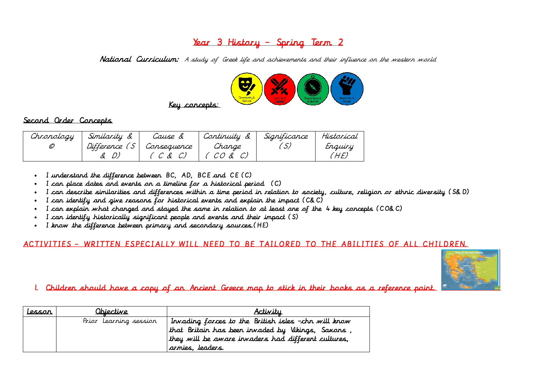### Year 3 History – Spring Term 2

National Curriculum: A study of Greek life and achievements and their influence on the western world



### Second Order Concepts

| Chronology | Similarity &  | Cause &     | Continuity & | Significance | Historical |
|------------|---------------|-------------|--------------|--------------|------------|
| O          | Difference (S | Consequence | Change       |              | Enquiry    |
|            |               | ${C}$ & C)  | CO & C)      |              | 'HE,       |

- I understand the difference between BC, AD, BCE and CE (C)
- I can place dates and events on a timeline for a historical period (C)
- I can describe similarities and differences within a time period in relation to society, culture, religion or ethnic diversity (S&D)
- I can identify and give reasons for historical events and explain the impact (C&C)
- I can explain what changed and stayed the same in relation to at least one of the 4 key concepts (CO&C)
- I can identify historically significant people and events and their impact (S)
- I know the difference between primary and secondary sources.(HE)

### ACTIVITIES – WRITTEN ESPECIALLY WILL NEED TO BE TAILORED TO THE ABILITIES OF ALL CHILDREN.



1. Children should have a copy of an Ancient Greece map to stick in their books as a reference point.

| <u>lessor</u> | <u>Obiective</u>       | <u>Activitu</u>                                     |
|---------------|------------------------|-----------------------------------------------------|
|               | Prior Learning session | Invading forces to the British isles -chn will know |
|               |                        | that Britain has been invaded by Vikings, Saxons    |
|               |                        | they will be aware invaders had different cultures, |
|               |                        | arnies, leaders.                                    |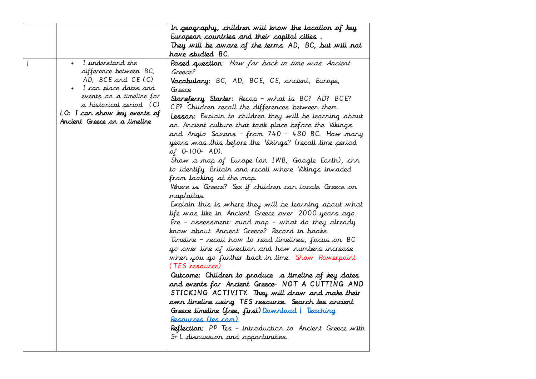|                                                     | In geography, children will know the location of key                                                     |
|-----------------------------------------------------|----------------------------------------------------------------------------------------------------------|
|                                                     | European countries and their capital cities.                                                             |
|                                                     | They will be aware of the terms AD, BC, but will not                                                     |
|                                                     | have studied BC.                                                                                         |
| I understand the<br>$\bullet$                       | Posed question: How far back in time was Ancient                                                         |
| difference between BC,                              | Greece?                                                                                                  |
| AD, BCE and CE (C)                                  | Vocabulary: BC, AD, BCE, CE, ancient, Europe,                                                            |
| I can place dates and                               | Greece                                                                                                   |
| events on a timeline for<br>a historical period (C) | Stoneferry Starter: Recap - what is BC? AD? BCE?                                                         |
| LO: I can show key events of                        | CE? Children recall the differences between them.                                                        |
| Ancient Greece on a timeline                        | <b>Lesson:</b> Explain to children they will be learning about                                           |
|                                                     | an Ancient culture that took place before the Vikings                                                    |
|                                                     | and Anglo Saxons – from 740 – 480 BC. How many<br>years was this before the Vikings? (recall time period |
|                                                     | of 0-100- AD).                                                                                           |
|                                                     | Show a map of Europe (on IWB, Google Earth), chn                                                         |
|                                                     | to identify Britain and recall where Vikings invaded                                                     |
|                                                     | from looking at the map.                                                                                 |
|                                                     | Where is Greece? See if children can locate Greece on                                                    |
|                                                     | map/atlas                                                                                                |
|                                                     | Explain this is where they will be learning about what                                                   |
|                                                     | life was like in Ancient Greece over 2000 years ago.                                                     |
|                                                     | Pre - assessment: mind map - what do they already                                                        |
|                                                     | know about Ancient Greece? Record in books                                                               |
|                                                     | Timeline - recall how to read timelines, focus on BC                                                     |
|                                                     | go over line of direction and how numbers increase                                                       |
|                                                     | when you go further back in time. Show Powerpoint                                                        |
|                                                     | (TES resource)                                                                                           |
|                                                     | Outcome: Children to produce a timeline of key dates                                                     |
|                                                     | and events for Ancient Greece- NOT A CUTTING AND                                                         |
|                                                     | STICKING ACTIVITY. They will draw and make their                                                         |
|                                                     | own timeline using TES resource. Search tes ancient                                                      |
|                                                     | Greece timeline (free, first) <u>Download</u>   Teaching                                                 |
|                                                     | Resources (tes.com)                                                                                      |
|                                                     | Reflection: PP Tes - introduction to Ancient Greece with                                                 |
|                                                     | S+ L discussion and opportunities.                                                                       |
|                                                     |                                                                                                          |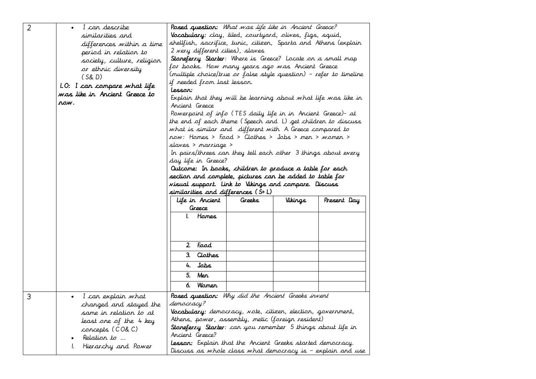| $\overline{2}$ | I can describe<br>similarities and<br>differences within a time<br>period in relation to<br>society, culture, religion<br>or ethnic diversity<br>(S&D)<br>LO: I can compare what life<br>was like in Ancient Greece to<br>row. | Posed question: What was life like in Ancient Greece?<br>Vocabulary: clay, tiled, courtyard, olives, figs, squid,<br>shellfish, sacrifice, tunic, citizen, Sparta and Athens (explain<br>2 very different cities), slaves<br>Stoneferry Starter: Where is Greece? Locate on a small map<br>for books. How many years ago was Ancient Greece<br>(multiple choice/true or false style question) – refer to timeline<br>if needed from last lesson.<br>lesson:<br>Explain that they will be learning about what life was like in<br>Ancient Greece<br>Powerpoint of info (TES daily life in in Ancient Greece)- at<br>the end of each theme (Speech and L) get children to discuss<br>what is similar and different with A. Greece compared to<br>now: Homes > Food > Clothes > Jobs > men > women ><br>slaves > marriage ><br>In pairs/threes can they tell each other 3 things about every<br>day life in Greece?<br>Outcome: In books, children to produce a table for each<br>section and complete, pictures can be added to table for<br>visual support. Link to Vikings and compare. Discuss<br>similarities and differences (S+L)<br>Life in Ancient<br>Present Day<br>Greeks<br>Vikings<br>Greece<br>Hames<br>Food<br>2 <sup>1</sup><br>3. Clothes<br>Jobs<br>4.<br>5.<br>Mer |
|----------------|--------------------------------------------------------------------------------------------------------------------------------------------------------------------------------------------------------------------------------|------------------------------------------------------------------------------------------------------------------------------------------------------------------------------------------------------------------------------------------------------------------------------------------------------------------------------------------------------------------------------------------------------------------------------------------------------------------------------------------------------------------------------------------------------------------------------------------------------------------------------------------------------------------------------------------------------------------------------------------------------------------------------------------------------------------------------------------------------------------------------------------------------------------------------------------------------------------------------------------------------------------------------------------------------------------------------------------------------------------------------------------------------------------------------------------------------------------------------------------------------------------------------------|
|                |                                                                                                                                                                                                                                | <b>Wamen</b><br>6.                                                                                                                                                                                                                                                                                                                                                                                                                                                                                                                                                                                                                                                                                                                                                                                                                                                                                                                                                                                                                                                                                                                                                                                                                                                                 |
| 3              | I can explain what<br>changed and stayed the<br>same in relation to at<br>least one of the 4 key<br>concepts (CO& C)<br>Relation to<br>Hierarchy and Power                                                                     | Posed question: Why did the Ancient Greeks invent<br>democracy?<br>Vocabulary: democracy, vote, citizen, election, government,<br>Athens, power, assembly, metic (foreign resident)<br><b>Stoneferry Starter</b> : can you remember 5 things about life in<br>Ancient Greece?<br><b>Lesson:</b> Explain that the Ancient Greeks started democracy.<br>Discuss as whole class what democracy is - explain and use                                                                                                                                                                                                                                                                                                                                                                                                                                                                                                                                                                                                                                                                                                                                                                                                                                                                   |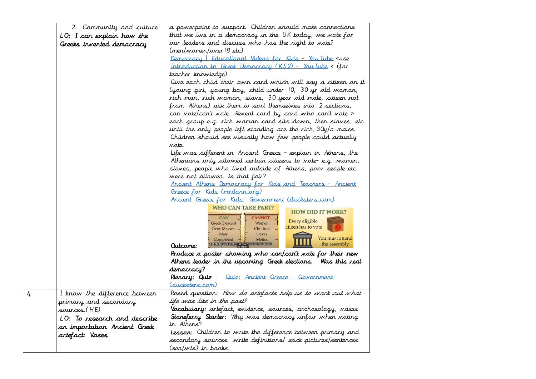|   | 2. Community and culture      | a powerpoint to support. Children should make connections                                                                                                                                                                                                                                                                                                 |
|---|-------------------------------|-----------------------------------------------------------------------------------------------------------------------------------------------------------------------------------------------------------------------------------------------------------------------------------------------------------------------------------------------------------|
|   | LO: I can explain how the     | that we live in a democracy in the UK today, we vote for                                                                                                                                                                                                                                                                                                  |
|   | Greeks invented democracy     | our leaders and discuss who has the right to wote?                                                                                                                                                                                                                                                                                                        |
|   |                               | (men/women/over 18 etc)                                                                                                                                                                                                                                                                                                                                   |
|   |                               | <u>Democracy</u>   Educational Videos for Kids - You Tube <use< th=""></use<>                                                                                                                                                                                                                                                                             |
|   |                               | Introduction to Greek Democracy (KS2) - You Tube < (for                                                                                                                                                                                                                                                                                                   |
|   |                               | teacher knowledge)                                                                                                                                                                                                                                                                                                                                        |
|   |                               | Give each child their own card which will say a citizen on it                                                                                                                                                                                                                                                                                             |
|   |                               | (young girl, young boy, child under 10, 30 yr old woman,                                                                                                                                                                                                                                                                                                  |
|   |                               | rich man, rich woman, slave, 30 year old male, citizen not                                                                                                                                                                                                                                                                                                |
|   |                               | from Athens) ask them to sort themselves into 2 sections,                                                                                                                                                                                                                                                                                                 |
|   |                               | can vote/can't vote. Reveal card by card who can't vote >                                                                                                                                                                                                                                                                                                 |
|   |                               | each group e.g. rich woman card sits down, then slaves, etc                                                                                                                                                                                                                                                                                               |
|   |                               | until the only people left standing are the rich, $30y/\sigma$ males.                                                                                                                                                                                                                                                                                     |
|   |                               | Children should see visually how few people could actually                                                                                                                                                                                                                                                                                                |
|   |                               | vote.                                                                                                                                                                                                                                                                                                                                                     |
|   |                               | Life was different in Ancient Greece - explain in Athens, the                                                                                                                                                                                                                                                                                             |
|   |                               | Athenians only allowed certain citizens to note-e.g. women,                                                                                                                                                                                                                                                                                               |
|   |                               | slaves, people who lived outside of Athens, poor people etc                                                                                                                                                                                                                                                                                               |
|   |                               | were not allowed. is that fair?                                                                                                                                                                                                                                                                                                                           |
|   |                               | Ancient Athens Democracy for Kids and Teachers - Ancient                                                                                                                                                                                                                                                                                                  |
|   |                               | Greece for Kids (mrdonn.org)                                                                                                                                                                                                                                                                                                                              |
|   |                               | Ancient Greece for Kids: Government (ducksters.com)                                                                                                                                                                                                                                                                                                       |
|   |                               | <b>WHO CAN TAKE PART?</b><br><b>HOW DID IT WORK?</b><br><b>CAN</b><br><b>CANNOT</b><br>Every eligible<br><b>Greek Descent</b><br>Women<br>titizen has to vote<br>Over 18 years -<br>Children<br>Male<br><b>Slaves</b><br>You must attend<br>Completed<br>Metics<br>Mil Neither were children (as they were not over eighteen)<br>the assembly<br>Qutcome: |
|   |                               | Produce a poster showing who can/can't vote for their new                                                                                                                                                                                                                                                                                                 |
|   |                               | Athens leader in the upcoming Greek elections. Was this real                                                                                                                                                                                                                                                                                              |
|   |                               | democracy?                                                                                                                                                                                                                                                                                                                                                |
|   |                               | Plenary: Quiz - Quiz: Ancient Greece - Government                                                                                                                                                                                                                                                                                                         |
|   |                               | <u>(ducksters.com)</u>                                                                                                                                                                                                                                                                                                                                    |
| 4 | I know the difference between | Posed question: How do artefacts help us to work out what                                                                                                                                                                                                                                                                                                 |
|   | primary and secondary         | life was like in the past?                                                                                                                                                                                                                                                                                                                                |
|   | sources.(HE)                  | Vocabulary: artefact, evidence, sources, archaeology, vases                                                                                                                                                                                                                                                                                               |
|   | LO: To research and describe  | <b>Stoneferry Starter:</b> Why was democracy unfair when voting                                                                                                                                                                                                                                                                                           |
|   | an importation Ancient Greek  | in Athens?                                                                                                                                                                                                                                                                                                                                                |
|   | artefact: Vases               | lesson: Children to write the difference between primary and                                                                                                                                                                                                                                                                                              |
|   |                               | secondary sources- write definitions/ stick pictures/sentences                                                                                                                                                                                                                                                                                            |
|   |                               | (sen/wts) in books.                                                                                                                                                                                                                                                                                                                                       |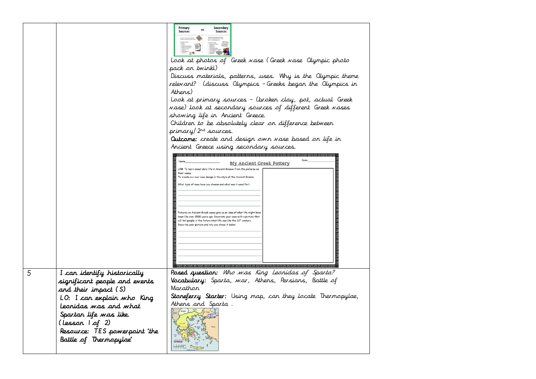|   |                               | Primary<br>Secondary<br><b>Sources</b><br>Sources                                                                                                |
|---|-------------------------------|--------------------------------------------------------------------------------------------------------------------------------------------------|
|   |                               |                                                                                                                                                  |
|   |                               | Look at photos of Greek wase (Greek wase Olympic photo                                                                                           |
|   |                               | pack on twinkl)                                                                                                                                  |
|   |                               | Discuss materials, patterns, uses. Why is the Olympic theme                                                                                      |
|   |                               | relevant? (discuss Olympics - Greeks began the Olympics in                                                                                       |
|   |                               | Athens)                                                                                                                                          |
|   |                               | Look at primary sources - (broken clay, pot, actual Greek                                                                                        |
|   |                               | wase) look at secondary sources of different Greek wases                                                                                         |
|   |                               | showing life in Ancient Greece.                                                                                                                  |
|   |                               | Children to be absolutely clear on difference between                                                                                            |
|   |                               | primary/2 <sup>nd</sup> sources.                                                                                                                 |
|   |                               | <b>Outcome:</b> create and design own vase based on life in                                                                                      |
|   |                               | Ancient Greece using secondary sources.                                                                                                          |
|   |                               |                                                                                                                                                  |
|   |                               | My Ancient Greek Pottery<br>LOB: To learn about daily life in Ancient Greece from the pictures on                                                |
|   |                               | their vases<br>To create our own vase design in the style of the Ancient Greeks.                                                                 |
|   |                               | What type of vase have you chosen and what was it used for?                                                                                      |
|   |                               |                                                                                                                                                  |
|   |                               |                                                                                                                                                  |
|   |                               |                                                                                                                                                  |
|   |                               | Pictures on Ancient Greek vases give us an idea of what life might have<br>been like over 2000 years ago. Decorate your vase with a picture that |
|   |                               | will tell people in the future what life was like the 21st century.<br>Describe your picture and why you chose it below.                         |
|   |                               |                                                                                                                                                  |
|   |                               |                                                                                                                                                  |
|   |                               |                                                                                                                                                  |
|   |                               |                                                                                                                                                  |
|   |                               |                                                                                                                                                  |
| 5 | I can identify historically   | Posed question: Who was King Leonidas of Sparta?                                                                                                 |
|   | significant people and events | Vocabulary: Sparta, war, Athens, Persians, Battle of                                                                                             |
|   | and their impact (S)          | Marathar                                                                                                                                         |
|   | LO: I can explain who King    | Stoneferry Starter: Using map, can they locate Thermopylae,                                                                                      |
|   | Leonidas was and what         | Athens and Sparta.                                                                                                                               |
|   | Spartan life was like.        |                                                                                                                                                  |
|   |                               |                                                                                                                                                  |
|   | (Lesson 1 of 2)               |                                                                                                                                                  |
|   | Resource: TES powerpoint 'the |                                                                                                                                                  |
|   | Battle of Thermopylae'        | Greece<br>ترتم                                                                                                                                   |
|   |                               |                                                                                                                                                  |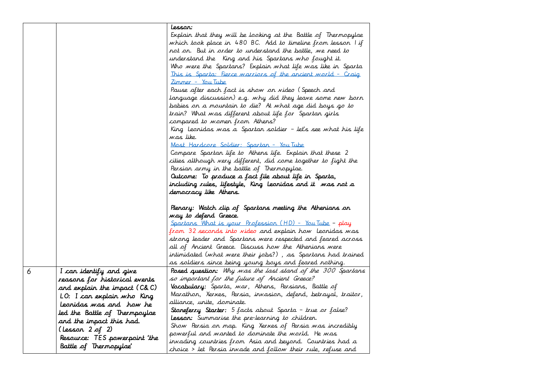| Lessar:<br>Explain that they will be looking at the Battle of Thermopylae<br>which took place in 480 BC. Add to timeline from lesson I if                                |
|--------------------------------------------------------------------------------------------------------------------------------------------------------------------------|
|                                                                                                                                                                          |
|                                                                                                                                                                          |
|                                                                                                                                                                          |
| not on. But in order to understand the battle, we need to<br>understand the "King and his Spartans who fought it.                                                        |
| Who were the Spartans? Explain what life was like in Sparta                                                                                                              |
| This is Sparta: Fierce warriors of the ancient world - Craig                                                                                                             |
| <u>Zimmer – You Tube</u>                                                                                                                                                 |
| Pause after each fact is show on video (Speech and                                                                                                                       |
| language discussion) e.g. why did they leave some new born                                                                                                               |
| babies on a mountain to die? At what age did boys go to                                                                                                                  |
| train? What was different about life for Spartan girls                                                                                                                   |
| compared to women from Athens?                                                                                                                                           |
| King Leonidas was a Spartan soldier – let's see what his life                                                                                                            |
| was like.                                                                                                                                                                |
| Most Hardcore Soldier: Spartan - You Tube                                                                                                                                |
| Compare Spartan life to Athens life. Explain that these 2                                                                                                                |
| cities although very different, did come together to fight the                                                                                                           |
| Persian army in the battle of Thermopylae.                                                                                                                               |
| Outcome: To produce a fact file about life in Sparta,                                                                                                                    |
| including rules, lifestyle, King Leonidas and it was not a                                                                                                               |
| democracy like Athens.                                                                                                                                                   |
|                                                                                                                                                                          |
| Plenary: Watch clip of Spartans meeting the Athenians on                                                                                                                 |
|                                                                                                                                                                          |
| way to defend Greece.                                                                                                                                                    |
| <u> Spartans What is your Profession (HD) - You Tube</u> - play                                                                                                          |
| from 32 seconds into video and explain how "Leonidas was"                                                                                                                |
| strong leader and Spartans were respected and feared across                                                                                                              |
| all of Ancient Greece. Discuss how the Athenians were                                                                                                                    |
| intimidated (what were their jobs?) , as Spartans had trained                                                                                                            |
| as soldiers since being young boys and feared nothing.                                                                                                                   |
| I can identify and give<br><b>Posed question:</b> Why was the last stand of the 300 Spartans                                                                             |
| so important for the future of Ancient Greece?<br>reasons for historical events                                                                                          |
| <b>Vocabulary:</b> Sparta, war, Athens, Persians, Battle of<br>and explain the impact (C&C)                                                                              |
| Marathon, Xerxes, Persia, invasion, defend, betrayal, traitor,<br>LO: I can explain who King                                                                             |
| alliance, unite, dominate.<br>Leonidas was and how he                                                                                                                    |
| <b>Stoneferry Starter:</b> 5 facts about Sparta - true or false?<br>led the Battle of Thermpoylae                                                                        |
| <b>Lesson:</b> Summarise the pre-learning to children.<br>and the impact this had.                                                                                       |
| Show Persia on map. King Xerxes of Persia was incredibly<br>(Lesson 2 of 2)                                                                                              |
| powerful and wanted to dominate the world. He was<br>Resource: TES powerpoint 'the<br>invading countries from Asia and beyond. Countries had a<br>Battle of Thermopylae' |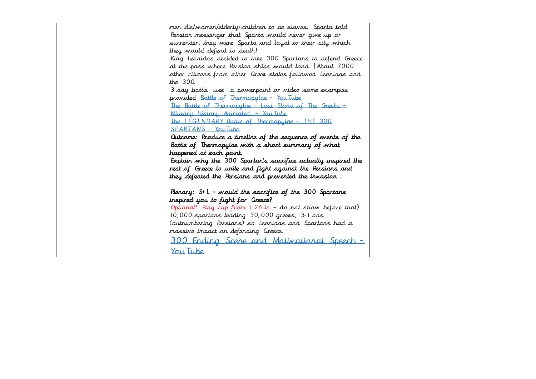| men die/women/elderly+children to be slaves. Sparta told      |
|---------------------------------------------------------------|
| Persian messenger that Sparta mould never give up or          |
| surrender, they were Sparta and loyal to their city which     |
| they would defend to death!                                   |
| King Leonidas decided to take 300 Spartans to defend Greece   |
| at the pass where Persian ships would land. Thout 7000        |
| other citizens from other Greek states followed Leonidas and  |
| the 300.                                                      |
| 3 day battle -use a powerpoint or video some examples         |
| provided Battle of Thermopylae - You Tube                     |
| The Battle of Thermopylae: Last Stand of The Greeks -         |
| Military History Animated. - You Tube.                        |
| The LEGENDARY Battle of Thermopylae - THE 300                 |
| SPARTANS - You Tube                                           |
| Outcome: Produce a timeline of the sequence of events of the  |
| Battle of Thermopylae with a short summary of what            |
| happened at each point.                                       |
| Explain why the 300 Spartan's sacrifice actually inspired the |
| rest of Greece to unite and fight against the Persians and    |
| they defeated the Persians and prevented the invasion.        |
|                                                               |
| Plenary: $S+L$ - mould the sacrifice of the 300 Spartans      |
| inspired you to fight for Greece?                             |
| Optional* Play clip from 1.26 in - do not show before that)   |
| 10,000 spartans leading 30,000 greeks, 3-1 ods                |
| (outnumbering Persians) so Leonidas and Spartans had a        |
| massive impact on defending Greece.                           |
| 300 Ending Scene and Motivational Speech                      |
|                                                               |
| You Tube                                                      |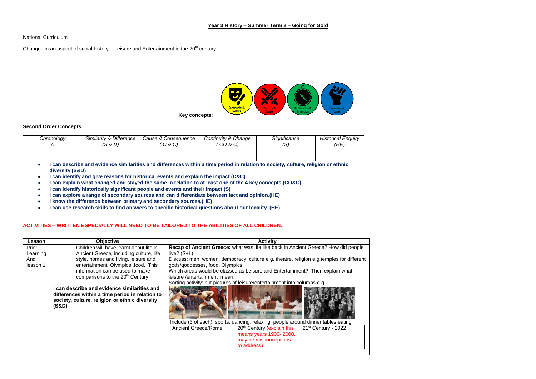#### **National Curriculum**

Changes in an aspect of social history  $-$  Leisure and Entertainment in the 20<sup>th</sup> century



#### **Second Order Concepts**

| Chronology<br>© | Similarity & Difference<br>(S & D)                                                                                                                                                                                                                                                                                                                                                                                                                                                                                               | Cause & Consequence<br>C & C) | Continuity & Change<br>′ CO & C) | Significance<br>(S) | <b>Historical Enquiry</b><br>(HE) |
|-----------------|----------------------------------------------------------------------------------------------------------------------------------------------------------------------------------------------------------------------------------------------------------------------------------------------------------------------------------------------------------------------------------------------------------------------------------------------------------------------------------------------------------------------------------|-------------------------------|----------------------------------|---------------------|-----------------------------------|
|                 |                                                                                                                                                                                                                                                                                                                                                                                                                                                                                                                                  |                               |                                  |                     |                                   |
|                 | can describe and evidence similarities and differences within a time period in relation to society, culture, religion or ethnic<br>diversity (S&D)<br>can identify and give reasons for historical events and explain the impact (C&C)<br>can explain what changed and stayed the same in relation to at least one of the 4 key concepts (CO&C)<br>can identify historically significant people and events and their impact (S)<br>can explore a range of secondary sources and can differentiate between fact and opinion. (HE) |                               |                                  |                     |                                   |
|                 | know the difference between primary and secondary sources. (HE)                                                                                                                                                                                                                                                                                                                                                                                                                                                                  |                               |                                  |                     |                                   |

**I can use research skills to find answers to specific historical questions about our locality. (HE)**

### **ACTIVITIES – WRITTEN ESPECIALLY WILL NEED TO BE TAILORED TO THE ABILITIES OF ALL CHILDREN.**

| Lesson   | <b>Objective</b>                                                                                                                                         | <b>Activity</b>                                                                                                            |
|----------|----------------------------------------------------------------------------------------------------------------------------------------------------------|----------------------------------------------------------------------------------------------------------------------------|
| Prior    | Children will have learnt about life in                                                                                                                  | Recap of Ancient Greece: what was life like back in Ancient Greece? How did people                                         |
| Learning | Ancient Greece, including culture, life                                                                                                                  | live? $(S+L)$                                                                                                              |
| And      | style, homes and living, leisure and                                                                                                                     | Discuss: men, women, democracy, culture e.g. theatre, religion e.g. temples for different                                  |
| lesson 1 | entertainment, Olympics , food. This                                                                                                                     | gods/goddesses, food, Olympics                                                                                             |
|          | information can be used to make                                                                                                                          | Which areas would be classed as Leisure and Entertainment? Then explain what                                               |
|          | comparisons to the 20 <sup>th</sup> Century.                                                                                                             | leisure/entertainment mean.                                                                                                |
|          |                                                                                                                                                          | Sorting activity: put pictures of leisure/entertainment into columns e.g.                                                  |
|          | can describe and evidence similarities and<br>differences within a time period in relation to<br>society, culture, religion or ethnic diversity<br>(S&D) | Include (3 of each): sports, dancing, relaxing, people around dinner tables eating                                         |
|          |                                                                                                                                                          | Ancient Greece/Rome<br>21 <sup>st</sup> Century - 2022<br>20 <sup>th</sup> Century (explain this<br>means years 1900-2000, |
|          |                                                                                                                                                          | may be misconceptions                                                                                                      |
|          |                                                                                                                                                          | to address)                                                                                                                |
|          |                                                                                                                                                          |                                                                                                                            |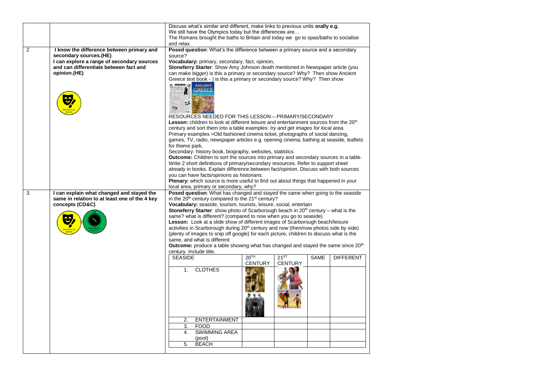|    |                                                                                            | and relax.                                                                                                                                                  | Discuss what's similar and different, make links to previous units orally e.g.<br>We still have the Olympics today but the differences are<br>The Romans brought the baths to Britain and today we go to spas/baths to socialise |                  |                |      |                  |
|----|--------------------------------------------------------------------------------------------|-------------------------------------------------------------------------------------------------------------------------------------------------------------|----------------------------------------------------------------------------------------------------------------------------------------------------------------------------------------------------------------------------------|------------------|----------------|------|------------------|
| 2  | I know the difference between primary and                                                  |                                                                                                                                                             | Posed question: What's the difference between a primary source and a secondary                                                                                                                                                   |                  |                |      |                  |
|    | secondary sources.(HE)                                                                     | source?                                                                                                                                                     |                                                                                                                                                                                                                                  |                  |                |      |                  |
|    | I can explore a range of secondary sources                                                 |                                                                                                                                                             | Vocabulary: primary, secondary, fact, opinion,                                                                                                                                                                                   |                  |                |      |                  |
|    | and can differentiate between fact and                                                     |                                                                                                                                                             | Stoneferry Starter: Show Amy Johnson death mentioned in Newspaper article (you                                                                                                                                                   |                  |                |      |                  |
|    | opinion.(HE)                                                                               |                                                                                                                                                             | can make bigger) is this a primary or secondary source? Why? Then show Ancient                                                                                                                                                   |                  |                |      |                  |
|    |                                                                                            |                                                                                                                                                             | Greece text book - ) is this a primary or secondary source? Why? Then show<br><b>ANCIENT</b>                                                                                                                                     |                  |                |      |                  |
|    |                                                                                            | Ē3                                                                                                                                                          | <b>GREECE</b>                                                                                                                                                                                                                    |                  |                |      |                  |
|    |                                                                                            |                                                                                                                                                             | RESOURCES NEEDED FOR THIS LESSON – PRIMARY/SECONDARY                                                                                                                                                                             |                  |                |      |                  |
|    |                                                                                            |                                                                                                                                                             | Lesson: children to look at different leisure and entertainment sources from the 20 <sup>th</sup>                                                                                                                                |                  |                |      |                  |
|    |                                                                                            |                                                                                                                                                             | century and sort them into a table examples: try and get images for local area.                                                                                                                                                  |                  |                |      |                  |
|    |                                                                                            |                                                                                                                                                             | Primary examples > Old fashioned cinema ticket, photographs of social dancing,                                                                                                                                                   |                  |                |      |                  |
|    |                                                                                            |                                                                                                                                                             | games, TV, radio, newspaper articles e.g. opening cinema, bathing at seaside, leaflets                                                                                                                                           |                  |                |      |                  |
|    |                                                                                            | for theme park,                                                                                                                                             | Secondary: history book, biography, websites, statistics                                                                                                                                                                         |                  |                |      |                  |
|    |                                                                                            |                                                                                                                                                             | Outcome: Children to sort the sources into primary and secondary sources in a table.                                                                                                                                             |                  |                |      |                  |
|    |                                                                                            |                                                                                                                                                             | Write 2 short definitions of primary/secondary resources. Refer to support sheet                                                                                                                                                 |                  |                |      |                  |
|    |                                                                                            |                                                                                                                                                             | already in books. Explain difference between fact/opinion. Discuss with both sources                                                                                                                                             |                  |                |      |                  |
|    |                                                                                            |                                                                                                                                                             | you can have facts/opinions as historians.                                                                                                                                                                                       |                  |                |      |                  |
|    |                                                                                            |                                                                                                                                                             | <b>Plenary:</b> which source is more useful to find out about things that happened in your                                                                                                                                       |                  |                |      |                  |
|    |                                                                                            |                                                                                                                                                             | local area, primary or secondary, why?                                                                                                                                                                                           |                  |                |      |                  |
| 3. | I can explain what changed and stayed the<br>same in relation to at least one of the 4 key | Posed question: What has changed and stayed the same when going to the seaside<br>in the 20 <sup>th</sup> century compared to the 21 <sup>st</sup> century? |                                                                                                                                                                                                                                  |                  |                |      |                  |
|    | concepts (CO&C)                                                                            |                                                                                                                                                             | Vocabulary: seaside, tourism, tourists, leisure, social, entertain                                                                                                                                                               |                  |                |      |                  |
|    |                                                                                            |                                                                                                                                                             | <b>Stoneferry Starter:</b> show photo of Scarborough beach in $20th$ century – what is the                                                                                                                                       |                  |                |      |                  |
|    |                                                                                            |                                                                                                                                                             | same? what is different? (compared to now when you go to seaside)                                                                                                                                                                |                  |                |      |                  |
|    |                                                                                            |                                                                                                                                                             | Lesson: Look at a slide show of different images of Scarborough beach/leisure                                                                                                                                                    |                  |                |      |                  |
|    |                                                                                            | activities in Scarborough during 20 <sup>th</sup> century and now (then/now photos side by side)                                                            |                                                                                                                                                                                                                                  |                  |                |      |                  |
|    |                                                                                            | (plenty of images to snip off google) for each picture, children to discuss what is the<br>same, and what is different                                      |                                                                                                                                                                                                                                  |                  |                |      |                  |
|    |                                                                                            |                                                                                                                                                             | <b>Outcome:</b> produce a table showing what has changed and stayed the same since $20th$                                                                                                                                        |                  |                |      |                  |
|    |                                                                                            |                                                                                                                                                             | century. Include title.                                                                                                                                                                                                          |                  |                |      |                  |
|    |                                                                                            | <b>SEASIDE</b>                                                                                                                                              |                                                                                                                                                                                                                                  | 20 <sup>TH</sup> | $21^{ST}$      | SAME | <b>DIFFERENT</b> |
|    |                                                                                            |                                                                                                                                                             |                                                                                                                                                                                                                                  | <b>CENTURY</b>   | <b>CENTURY</b> |      |                  |
|    |                                                                                            | 1.                                                                                                                                                          | <b>CLOTHES</b>                                                                                                                                                                                                                   |                  |                |      |                  |
|    |                                                                                            |                                                                                                                                                             |                                                                                                                                                                                                                                  |                  |                |      |                  |
|    |                                                                                            | 2.                                                                                                                                                          | <b>ENTERTAINMENT</b>                                                                                                                                                                                                             |                  |                |      |                  |
|    |                                                                                            | 3.<br>4.                                                                                                                                                    | <b>FOOD</b><br><b>SWIMMING AREA</b>                                                                                                                                                                                              |                  |                |      |                  |
|    |                                                                                            |                                                                                                                                                             | (pool)                                                                                                                                                                                                                           |                  |                |      |                  |
|    |                                                                                            | 5.                                                                                                                                                          | <b>BEACH</b>                                                                                                                                                                                                                     |                  |                |      |                  |
|    |                                                                                            |                                                                                                                                                             |                                                                                                                                                                                                                                  |                  |                |      |                  |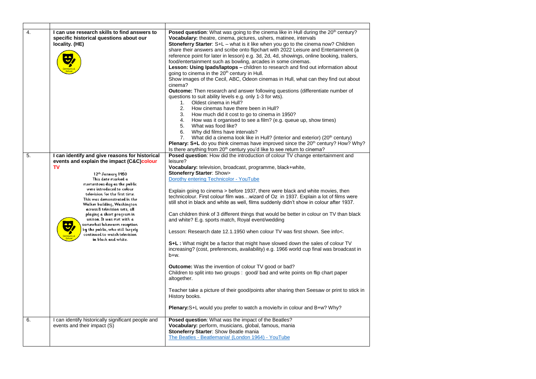| 4. | I can use research skills to find answers to<br>specific historical questions about our<br>locality. (HE)                                                                                                                                                                                                                                                                                                                                                                                                                               | Posed question: What was going to the cinema like in Hull during the 20 <sup>th</sup> century?<br>Vocabulary: theatre, cinema, pictures, ushers, matinee, intervals<br><b>Stoneferry Starter:</b> $S + L - w$ hat is it like when you go to the cinema now? Children<br>share their answers and scribe onto flipchart with 2022 Leisure and Entertainment (a<br>reference point for later in lesson) e.g. 3d, 2d, 4d, showings, online booking, trailers,<br>food/entertainment such as bowling, arcades in some cinemas.<br>Lesson: Using Ipads/laptops - children to research and find out information about<br>going to cinema in the 20 <sup>th</sup> century in Hull.<br>Show images of the Cecil, ABC, Odeon cinemas in Hull, what can they find out about<br>cinema?<br><b>Outcome:</b> Then research and answer following questions (differentiate number of<br>questions to suit ability levels e.g. only 1-3 for wts).<br>Oldest cinema in Hull?<br>1.<br>2.<br>How cinemas have there been in Hull?<br>3.<br>How much did it cost to go to cinema in 1950?<br>4. How was it organised to see a film? (e.g. queue up, show times)<br>5.<br>What was food like?<br>6.<br>Why did films have intervals?<br>What did a cinema look like in Hull? (interior and exterior) (20 <sup>th</sup> century)<br>7.<br><b>Plenary: S+L</b> do you think cinemas have improved since the $20th$ century? How? Why? |
|----|-----------------------------------------------------------------------------------------------------------------------------------------------------------------------------------------------------------------------------------------------------------------------------------------------------------------------------------------------------------------------------------------------------------------------------------------------------------------------------------------------------------------------------------------|----------------------------------------------------------------------------------------------------------------------------------------------------------------------------------------------------------------------------------------------------------------------------------------------------------------------------------------------------------------------------------------------------------------------------------------------------------------------------------------------------------------------------------------------------------------------------------------------------------------------------------------------------------------------------------------------------------------------------------------------------------------------------------------------------------------------------------------------------------------------------------------------------------------------------------------------------------------------------------------------------------------------------------------------------------------------------------------------------------------------------------------------------------------------------------------------------------------------------------------------------------------------------------------------------------------------------------------------------------------------------------------------------------------|
|    |                                                                                                                                                                                                                                                                                                                                                                                                                                                                                                                                         | Is there anything from 20 <sup>th</sup> century you'd like to see return to cinema?                                                                                                                                                                                                                                                                                                                                                                                                                                                                                                                                                                                                                                                                                                                                                                                                                                                                                                                                                                                                                                                                                                                                                                                                                                                                                                                            |
| 5. | I can identify and give reasons for historical<br>events and explain the impact (C&C)colour<br><b>TV</b><br>12th January 1950<br>This date marked a<br>momentous day as the public<br>were introduced to colour<br>television for the first time.<br>This was demonstrated in the<br>Walker building, Washington<br>across 8 television sets, all<br>playing a short program in<br>unison. It was met with a<br>somewhat lukewarm reception<br>by the public, who still largely<br>continued to watch television<br>in black and white. | Posed question: How did the introduction of colour TV change entertainment and<br>leisure?<br>Vocabulary: television, broadcast, programme, black+white,<br><b>Stoneferry Starter: Show&gt;</b><br>Dorothy entering Technicolor - YouTube<br>Explain going to cinema > before 1937, there were black and white movies, then<br>technicolour. First colour film waswizard of Oz in 1937. Explain a lot of films were<br>still shot in black and white as well, films suddenly didn't show in colour after 1937.<br>Can children think of 3 different things that would be better in colour on TV than black<br>and white? E.g. sports match, Royal event/wedding<br>Lesson: Research date 12.1.1950 when colour TV was first shown. See info<.<br>S+L: What might be a factor that might have slowed down the sales of colour TV<br>increasing? (cost, preferences, availability) e.g. 1966 world cup final was broadcast in<br>b+w.<br>Outcome: Was the invention of colour TV good or bad?<br>Children to split into two groups: good/ bad and write points on flip chart paper<br>altogether.<br>Teacher take a picture of their good/points after sharing then Seesaw or print to stick in<br>History books.                                                                                                                                                                                                |
|    |                                                                                                                                                                                                                                                                                                                                                                                                                                                                                                                                         | <b>Plenary:</b> S+L would you prefer to watch a movie/ty in colour and B+w? Why?                                                                                                                                                                                                                                                                                                                                                                                                                                                                                                                                                                                                                                                                                                                                                                                                                                                                                                                                                                                                                                                                                                                                                                                                                                                                                                                               |
| 6. | I can identify historically significant people and<br>events and their impact (S)                                                                                                                                                                                                                                                                                                                                                                                                                                                       | Posed question: What was the impact of the Beatles?<br>Vocabulary: perform, musicians, global, famous, mania<br><b>Stoneferry Starter: Show Beatle mania</b><br>The Beatles - Beatlemania! (London 1964) - YouTube                                                                                                                                                                                                                                                                                                                                                                                                                                                                                                                                                                                                                                                                                                                                                                                                                                                                                                                                                                                                                                                                                                                                                                                             |